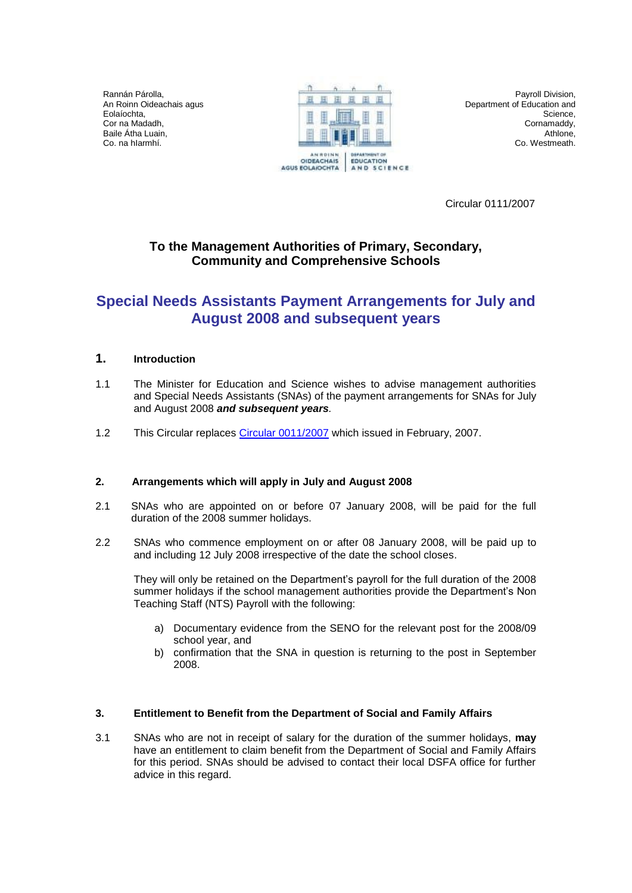Rannán Párolla, An Roinn Oideachais agus Eolaíochta, Cor na Madadh, Baile Átha Luain, Co. na hIarmhí.



Payroll Division, Department of Education and Science, Cornamaddy, Athlone, Co. Westmeath.

Circular 0111/2007

## **To the Management Authorities of Primary, Secondary, Community and Comprehensive Schools**

# **Special Needs Assistants Payment Arrangements for July and August 2008 and subsequent years**

## **1. Introduction**

- 1.1 The Minister for Education and Science wishes to advise management authorities and Special Needs Assistants (SNAs) of the payment arrangements for SNAs for July and August 2008 *and subsequent years.*
- 1.2 This Circular replaces [Circular 0011/2007](http://www.education.ie/en/Circulars-and-Forms/Archived-Circulars/cl0011_2007.doc) which issued in February, 2007.

## **2. Arrangements which will apply in July and August 2008**

- 2.1 SNAs who are appointed on or before 07 January 2008, will be paid for the full duration of the 2008 summer holidays.
- 2.2 SNAs who commence employment on or after 08 January 2008, will be paid up to and including 12 July 2008 irrespective of the date the school closes.

They will only be retained on the Department's payroll for the full duration of the 2008 summer holidays if the school management authorities provide the Department's Non Teaching Staff (NTS) Payroll with the following:

- a) Documentary evidence from the SENO for the relevant post for the 2008/09 school year, and
- b) confirmation that the SNA in question is returning to the post in September 2008.

#### **3. Entitlement to Benefit from the Department of Social and Family Affairs**

3.1 SNAs who are not in receipt of salary for the duration of the summer holidays, **may** have an entitlement to claim benefit from the Department of Social and Family Affairs for this period. SNAs should be advised to contact their local DSFA office for further advice in this regard.